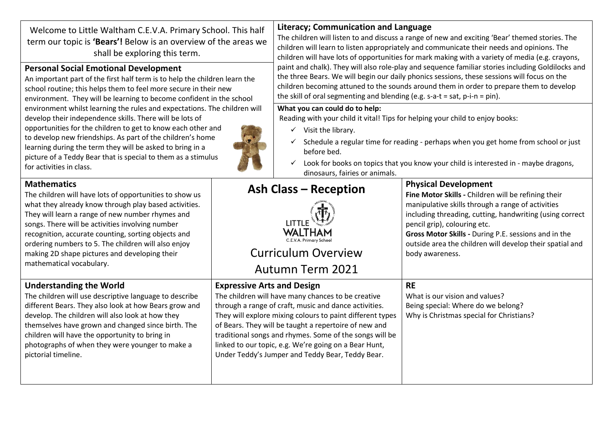| Welcome to Little Waltham C.E.V.A. Primary School. This half<br>term our topic is 'Bears'! Below is an overview of the areas we<br>shall be exploring this term.<br><b>Personal Social Emotional Development</b><br>An important part of the first half term is to help the children learn the<br>school routine; this helps them to feel more secure in their new<br>environment. They will be learning to become confident in the school<br>environment whilst learning the rules and expectations. The children will<br>develop their independence skills. There will be lots of<br>opportunities for the children to get to know each other and<br>to develop new friendships. As part of the children's home<br>learning during the term they will be asked to bring in a<br>picture of a Teddy Bear that is special to them as a stimulus<br>for activities in class. |                                                                                                                                                                                                                                                                                                                                                                                                                                                | <b>Literacy; Communication and Language</b><br>The children will listen to and discuss a range of new and exciting 'Bear' themed stories. The<br>children will learn to listen appropriately and communicate their needs and opinions. The<br>children will have lots of opportunities for mark making with a variety of media (e.g. crayons,<br>paint and chalk). They will also role-play and sequence familiar stories including Goldilocks and<br>the three Bears. We will begin our daily phonics sessions, these sessions will focus on the<br>children becoming attuned to the sounds around them in order to prepare them to develop<br>the skill of oral segmenting and blending (e.g. s-a-t = sat, $p$ -i-n = pin).<br>What you can could do to help:<br>Reading with your child it vital! Tips for helping your child to enjoy books:<br>$\checkmark$ Visit the library.<br>$\checkmark$ Schedule a regular time for reading - perhaps when you get home from school or just<br>before bed.<br>Look for books on topics that you know your child is interested in - maybe dragons,<br>dinosaurs, fairies or animals. |                                                                                                                                                                                                                                                                                                                                                                            |
|-----------------------------------------------------------------------------------------------------------------------------------------------------------------------------------------------------------------------------------------------------------------------------------------------------------------------------------------------------------------------------------------------------------------------------------------------------------------------------------------------------------------------------------------------------------------------------------------------------------------------------------------------------------------------------------------------------------------------------------------------------------------------------------------------------------------------------------------------------------------------------|------------------------------------------------------------------------------------------------------------------------------------------------------------------------------------------------------------------------------------------------------------------------------------------------------------------------------------------------------------------------------------------------------------------------------------------------|---------------------------------------------------------------------------------------------------------------------------------------------------------------------------------------------------------------------------------------------------------------------------------------------------------------------------------------------------------------------------------------------------------------------------------------------------------------------------------------------------------------------------------------------------------------------------------------------------------------------------------------------------------------------------------------------------------------------------------------------------------------------------------------------------------------------------------------------------------------------------------------------------------------------------------------------------------------------------------------------------------------------------------------------------------------------------------------------------------------------------------|----------------------------------------------------------------------------------------------------------------------------------------------------------------------------------------------------------------------------------------------------------------------------------------------------------------------------------------------------------------------------|
| <b>Mathematics</b><br>The children will have lots of opportunities to show us<br>what they already know through play based activities.<br>They will learn a range of new number rhymes and<br>songs. There will be activities involving number<br>recognition, accurate counting, sorting objects and<br>ordering numbers to 5. The children will also enjoy<br>making 2D shape pictures and developing their<br>mathematical vocabulary.                                                                                                                                                                                                                                                                                                                                                                                                                                   |                                                                                                                                                                                                                                                                                                                                                                                                                                                | <b>Ash Class - Reception</b><br><b>Curriculum Overview</b><br>Autumn Term 2021                                                                                                                                                                                                                                                                                                                                                                                                                                                                                                                                                                                                                                                                                                                                                                                                                                                                                                                                                                                                                                                  | <b>Physical Development</b><br>Fine Motor Skills - Children will be refining their<br>manipulative skills through a range of activities<br>including threading, cutting, handwriting (using correct<br>pencil grip), colouring etc.<br>Gross Motor Skills - During P.E. sessions and in the<br>outside area the children will develop their spatial and<br>body awareness. |
| <b>Understanding the World</b><br>The children will use descriptive language to describe<br>different Bears. They also look at how Bears grow and<br>develop. The children will also look at how they<br>themselves have grown and changed since birth. The<br>children will have the opportunity to bring in<br>photographs of when they were younger to make a<br>pictorial timeline.                                                                                                                                                                                                                                                                                                                                                                                                                                                                                     | <b>Expressive Arts and Design</b><br>The children will have many chances to be creative<br>through a range of craft, music and dance activities.<br>They will explore mixing colours to paint different types<br>of Bears. They will be taught a repertoire of new and<br>traditional songs and rhymes. Some of the songs will be<br>linked to our topic, e.g. We're going on a Bear Hunt,<br>Under Teddy's Jumper and Teddy Bear, Teddy Bear. |                                                                                                                                                                                                                                                                                                                                                                                                                                                                                                                                                                                                                                                                                                                                                                                                                                                                                                                                                                                                                                                                                                                                 | <b>RE</b><br>What is our vision and values?<br>Being special: Where do we belong?<br>Why is Christmas special for Christians?                                                                                                                                                                                                                                              |